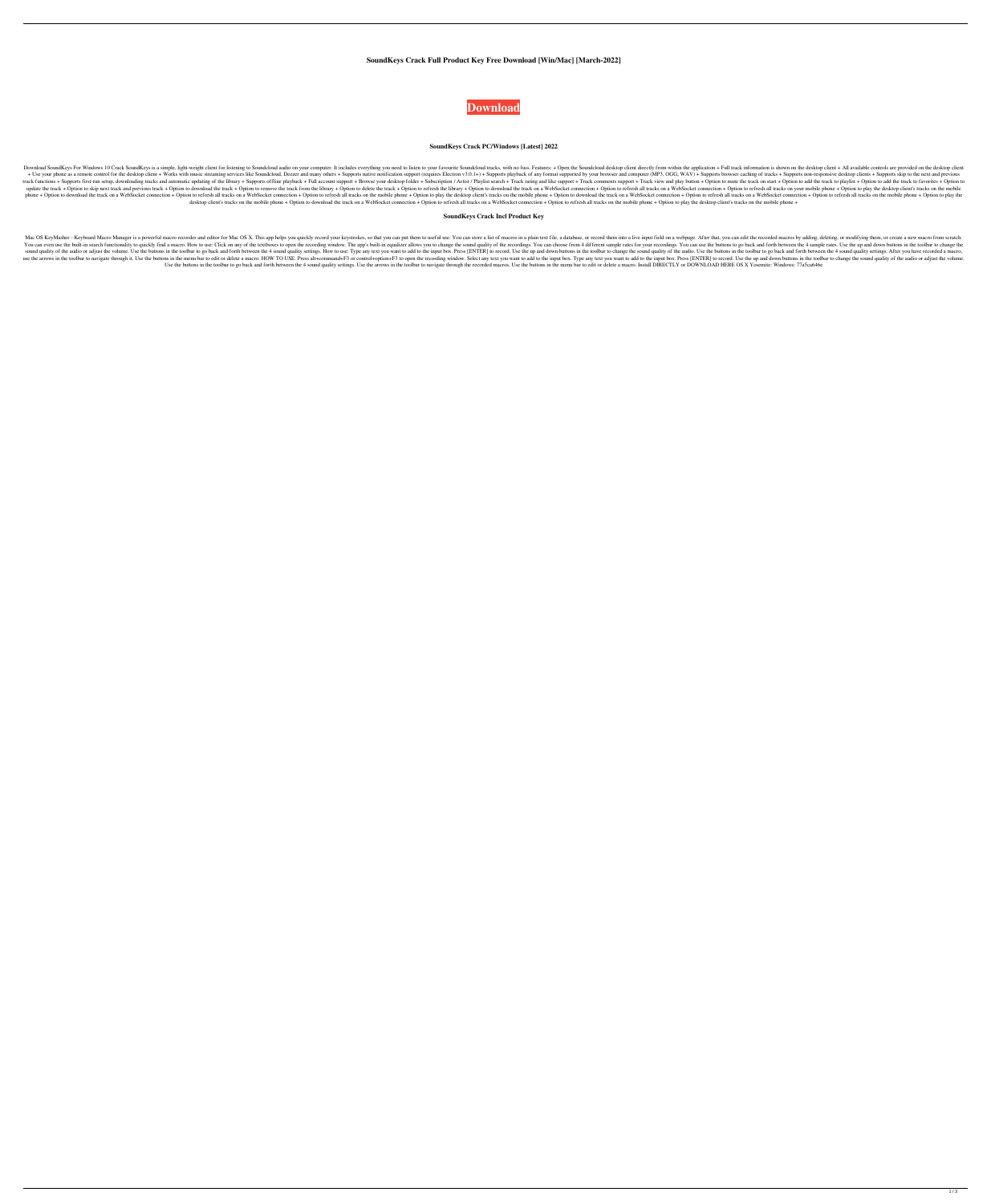## **SoundKeys Crack Full Product Key Free Download [Win/Mac] [March-2022]**



#### **SoundKeys Crack PC/Windows [Latest] 2022**

Download SoundKeys For Windows 10 Crack SoundKeys is a simple, light-weight client for listening to Soundcloud audio on your computer. It includes everything you need to listen to your favourite Soundcloud desktop client d + Use your phone as a remote control for the desktop client + Works with music streaming services like Soundcloud, Deezer and many others + Supports native notification support (requires Electron v3.0.1+) + Supports browse Improrts first-run setup, downloading tracks and automatic updating of the library + Supports offline playback + Full account support + Browse your desktop folder + Subscription / Artist / Playlist search + Track view and update the track + Option to skip next track and previous track + Option to download the track + Option to remove the track + Option to remove the track from the library + Option to delete the track on a WebSocket connecti phone + Option to download the track on a WebSocket connection + Option to refresh all tracks on a WebSocket connection + Option to refresh all tracks on the mobile phone + Option to download the track on a WebSocket conne desktop client's tracks on the mobile phone + Option to download the track on a WebSocket connection + Option to refresh all tracks on the mobile phone + Option to play the desktop client's tracks on the mobile phone +

#### **SoundKeys Crack Incl Product Key**

Mac OS KeyMasher - Keyboard Macro Manager is a powerful macro recorder and editor for Mac OS X. This app helps you quickly record your keystrokes, so that you can put them to useful use. You can store a list of macros in a You can even use the built-in search functionality to quickly find a macro. How to use: Click on any of the textboxes to open the recording window. The app's built-in equalizer allows you to change the sound quality of the sound quality of the audio or adjust the volume. Use the buttoms in the toolbar to go back and forth between the 4 sound quality settings. How to use: Type any text you want to add to the input box. Press [ENTER] to record use the arrows in the toolbar to navigate through it. Use the buttons in the menu bar to edit or delete a macro. HOW TO USE. Press alt+command+F3 or control+option+F3 to open the recording window. Select any text you want Use the buttons in the toolbar to go back and forth between the 4 sound quality settings. Use the arrows in the toolbar to navigate through the recorded macros. Use the buttons in the menu bar to edit or delete a macro. In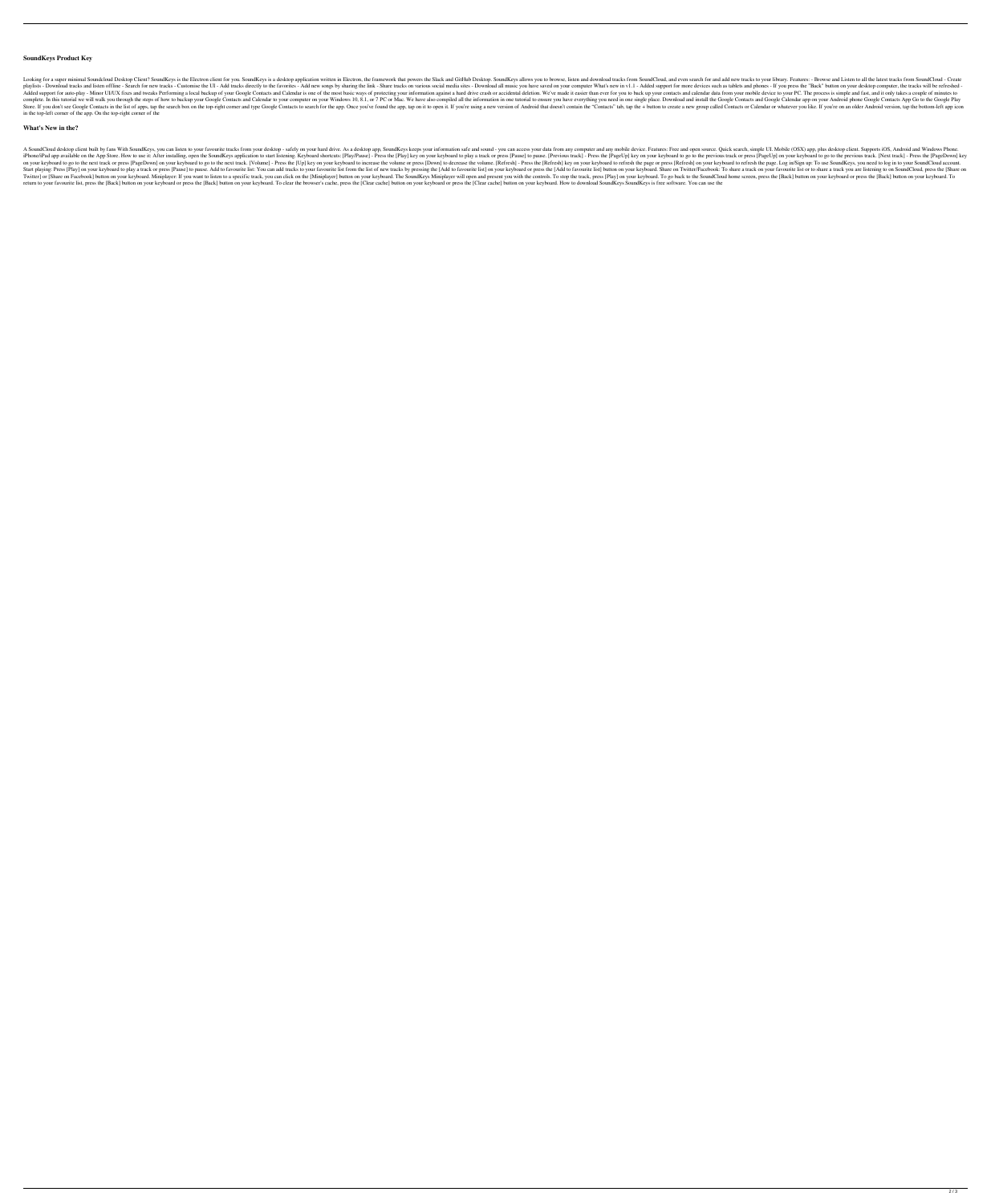### **SoundKeys Product Key**

Looking for a super minimal Soundcloud Desktop Client? SoundKeys is the Electron client for you. SoundKeys is a desktop application written in Electron, the framework that powers the Slack and GitHub Desktop. SoundCloud, a Download tracks and listen offline - Search for new tracks - Customise the UI - Add tracks directly to the favorites - Add new songs by sharing the link - Share tracks on various social media sites - Download all music you Added support for auto-play - Minor UI/UX fixes and tweaks Performing a local backup of your Google Contacts and Calendar is one of the most basic ways of protecting your information against a hard drive crash or accidenta complete. In this tutorial we will walk you through the steps of how to backup your Google Contacts and Calendar to your computer on your Windows 10, 8.1, or 7 PC or Mac. We have also compiled all the information in one tu Store. If you don't see Google Contacts in the list of apps, tap the search box on the top-right corner and type Google Contacts to search for the app. Once you've found the app, tap on it to open it. If you're using a new in the top-left corner of the app. On the top-right corner of the

#### **What's New in the?**

A SoundCloud desktop client built by fans With SoundKeys, you can listen to your favourite tracks from your desktop - safely on your hard drive. As a desktop app, SoundKeys keeps your information safe and sound - you can a iPhone/iPad app available on the App Store. How to use it: After installing, open the SoundKeys application to start listening. Keyboard shortcuts: [Play/Pause] - Press the [Play] key on your keyboard to glo to the previou I PageDown] on your keyboard to go to the next track or press [PageDown] to decrease the Volume] - Press the [Up] key on your keyboard to increase the volume or press [Refresh] anyour keyboard to refresh the page or press Start playing: Press [Play] on your keyboard to play a track or press [Pause] to pause. Add to favourite list: You can add tracks to your favourite list from the list of new tracks by pressing the [Add to favourite list] b Twitter] or [Share on Facebook] button on your keyboard. Miniplayer: If you want to listen to a specific track, you can click on the [Miniplayer] button on your keyboard. The SoundKeys Miniplayer will open and present you return to your favourite list, press the [Back] button on your keyboard or press the [Back] button on your keyboard. To clear the browser's cache, press the [Clear cache] button on your keyboard or press the [Clear cache]